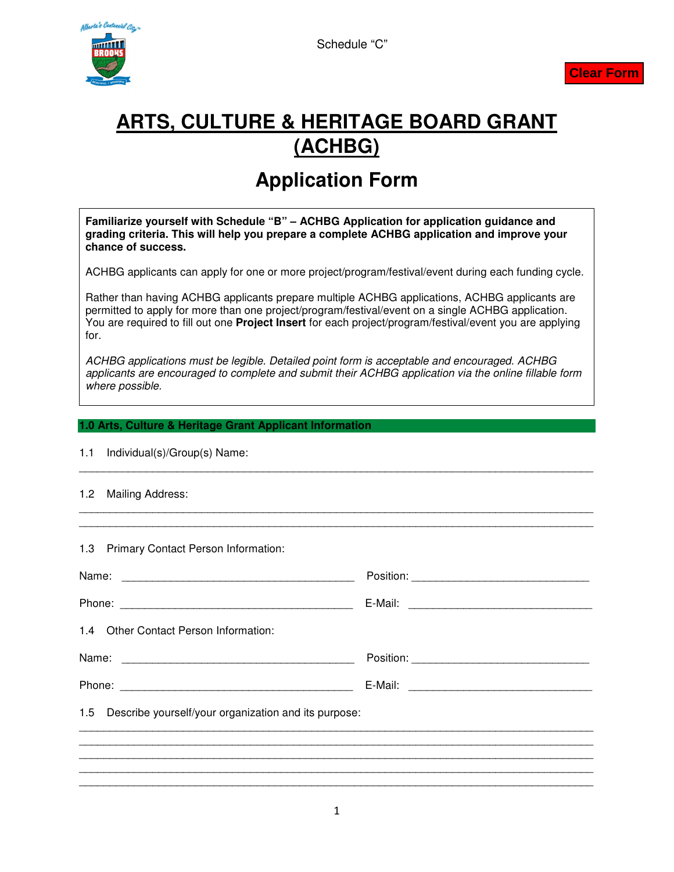





# **ARTS, CULTURE & HERITAGE BOARD GRANT (ACHBG)**

## **Application Form**

**Familiarize yourself with Schedule "B" – ACHBG Application for application guidance and grading criteria. This will help you prepare a complete ACHBG application and improve your chance of success.** 

ACHBG applicants can apply for one or more project/program/festival/event during each funding cycle.

Rather than having ACHBG applicants prepare multiple ACHBG applications, ACHBG applicants are permitted to apply for more than one project/program/festival/event on a single ACHBG application. You are required to fill out one **Project Insert** for each project/program/festival/event you are applying for.

ACHBG applications must be legible. Detailed point form is acceptable and encouraged. ACHBG applicants are encouraged to complete and submit their ACHBG application via the online fillable form where possible.

\_\_\_\_\_\_\_\_\_\_\_\_\_\_\_\_\_\_\_\_\_\_\_\_\_\_\_\_\_\_\_\_\_\_\_\_\_\_\_\_\_\_\_\_\_\_\_\_\_\_\_\_\_\_\_\_\_\_\_\_\_\_\_\_\_\_\_\_\_\_\_\_\_\_\_\_\_\_\_\_\_\_\_\_

\_\_\_\_\_\_\_\_\_\_\_\_\_\_\_\_\_\_\_\_\_\_\_\_\_\_\_\_\_\_\_\_\_\_\_\_\_\_\_\_\_\_\_\_\_\_\_\_\_\_\_\_\_\_\_\_\_\_\_\_\_\_\_\_\_\_\_\_\_\_\_\_\_\_\_\_\_\_\_\_\_\_\_\_ \_\_\_\_\_\_\_\_\_\_\_\_\_\_\_\_\_\_\_\_\_\_\_\_\_\_\_\_\_\_\_\_\_\_\_\_\_\_\_\_\_\_\_\_\_\_\_\_\_\_\_\_\_\_\_\_\_\_\_\_\_\_\_\_\_\_\_\_\_\_\_\_\_\_\_\_\_\_\_\_\_\_\_\_

#### **1.0 Arts, Culture & Heritage Grant Applicant Information**

#### 1.1 Individual(s)/Group(s) Name:

#### 1.2 Mailing Address:

1.3 Primary Contact Person Information:

| 1.4 Other Contact Person Information:                    |  |  |  |  |  |
|----------------------------------------------------------|--|--|--|--|--|
|                                                          |  |  |  |  |  |
|                                                          |  |  |  |  |  |
| 1.5 Describe yourself/your organization and its purpose: |  |  |  |  |  |
|                                                          |  |  |  |  |  |
|                                                          |  |  |  |  |  |
|                                                          |  |  |  |  |  |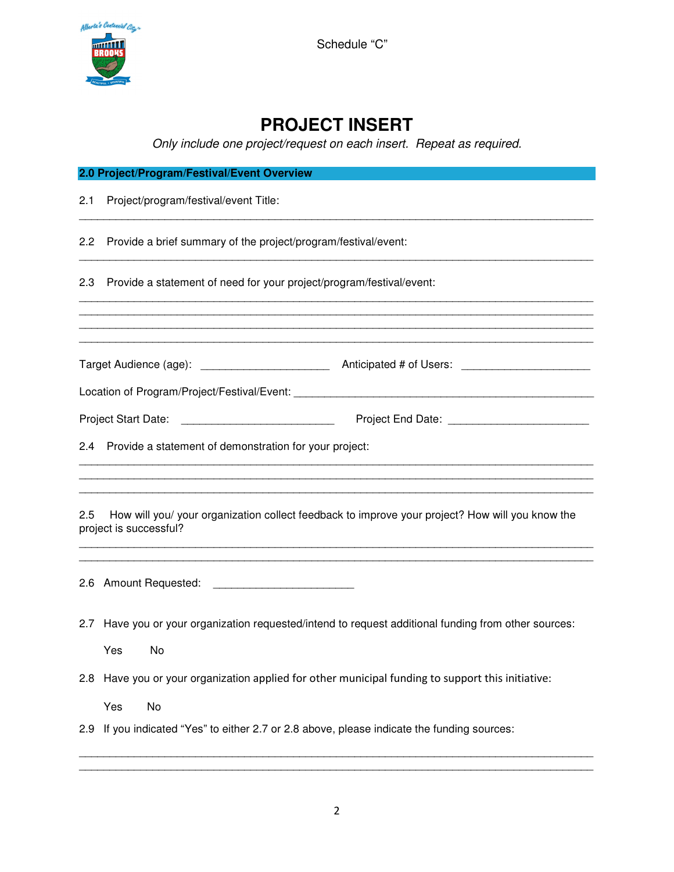

Schedule "C"

### **PROJECT INSERT**

Only include one project/request on each insert. Repeat as required.

| 2.0 Project/Program/Festival/Event Overview                                                                                      |                                                                                                               |  |  |  |
|----------------------------------------------------------------------------------------------------------------------------------|---------------------------------------------------------------------------------------------------------------|--|--|--|
| 2.1                                                                                                                              | Project/program/festival/event Title:                                                                         |  |  |  |
| 2.2                                                                                                                              | Provide a brief summary of the project/program/festival/event:                                                |  |  |  |
| 2.3                                                                                                                              | Provide a statement of need for your project/program/festival/event:                                          |  |  |  |
|                                                                                                                                  | ,我们也不能在这里的人,我们也不能在这里的人,我们也不能在这里的人,我们也不能在这里的人,我们也不能在这里的人,我们也不能在这里的人,我们也不能在这里的人,我们也                             |  |  |  |
|                                                                                                                                  |                                                                                                               |  |  |  |
|                                                                                                                                  | Project Start Date: ________________________________                                                          |  |  |  |
| $2.4^{\circ}$                                                                                                                    | Provide a statement of demonstration for your project:                                                        |  |  |  |
| How will you/ your organization collect feedback to improve your project? How will you know the<br>2.5<br>project is successful? |                                                                                                               |  |  |  |
|                                                                                                                                  |                                                                                                               |  |  |  |
| 2.7                                                                                                                              | Have you or your organization requested/intend to request additional funding from other sources:<br>Yes<br>No |  |  |  |
|                                                                                                                                  | 2.8 Have you or your organization applied for other municipal funding to support this initiative:             |  |  |  |
|                                                                                                                                  | No<br>Yes<br>2.9 If you indicated "Yes" to either 2.7 or 2.8 above, please indicate the funding sources:      |  |  |  |

\_\_\_\_\_\_\_\_\_\_\_\_\_\_\_\_\_\_\_\_\_\_\_\_\_\_\_\_\_\_\_\_\_\_\_\_\_\_\_\_\_\_\_\_\_\_\_\_\_\_\_\_\_\_\_\_\_\_\_\_\_\_\_\_\_\_\_\_\_\_\_\_\_\_\_\_\_\_\_\_\_\_\_\_